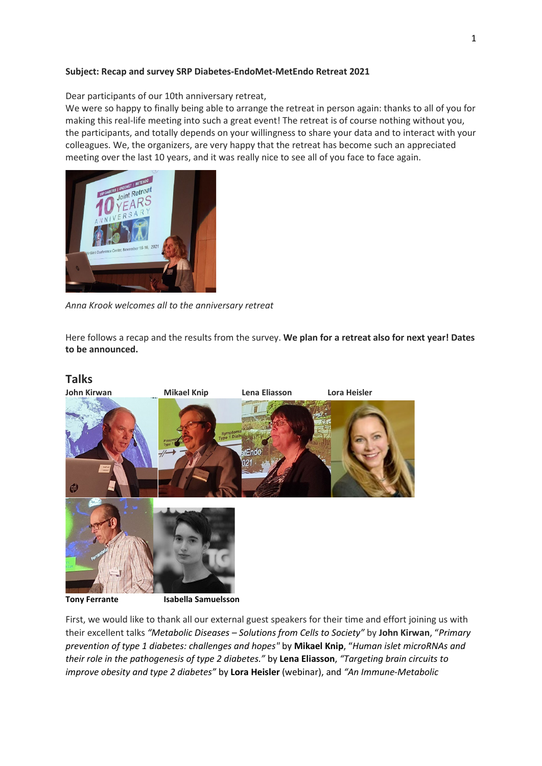#### **Subject: Recap and survey SRP Diabetes-EndoMet-MetEndo Retreat 2021**

Dear participants of our 10th anniversary retreat,

We were so happy to finally being able to arrange the retreat in person again: thanks to all of you for making this real-life meeting into such a great event! The retreat is of course nothing without you, the participants, and totally depends on your willingness to share your data and to interact with your colleagues. We, the organizers, are very happy that the retreat has become such an appreciated meeting over the last 10 years, and it was really nice to see all of you face to face again.



*Anna Krook welcomes all to the anniversary retreat*

Here follows a recap and the results from the survey. **We plan for a retreat also for next year! Dates to be announced.**

# **Talks John Kirwan Mikael Knip Lena Eliasson Lora Heisler**  $tFndc$ CD

**Tony Ferrante Isabella Samuelsson** 

First, we would like to thank all our external guest speakers for their time and effort joining us with their excellent talks *"Metabolic Diseases – Solutions from Cells to Society"* by **John Kirwan**, "*Primary prevention of type 1 diabetes: challenges and hopes"* by **Mikael Knip**, "*Human islet microRNAs and their role in the pathogenesis of type 2 diabetes."* by **Lena Eliasson**, *"Targeting brain circuits to improve obesity and type 2 diabetes"* by **Lora Heisler** (webinar), and *"An Immune-Metabolic*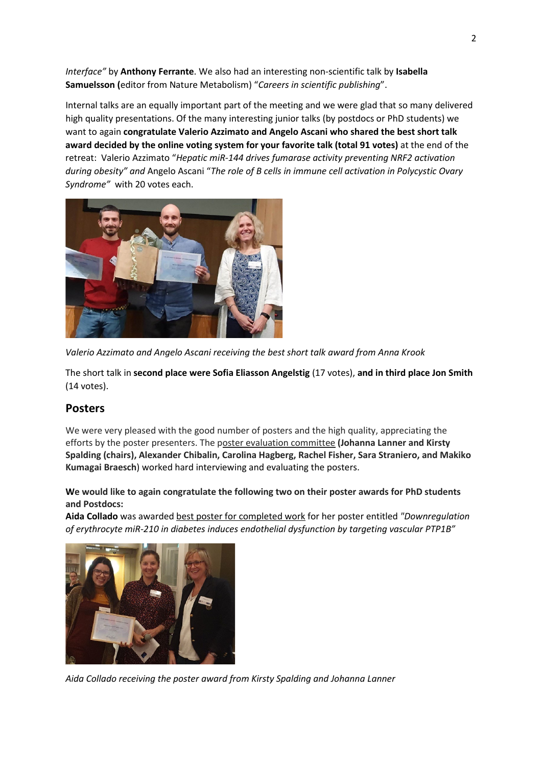*Interface"* by **Anthony Ferrante**. We also had an interesting non-scientific talk by **Isabella Samuelsson (**editor from Nature Metabolism) "*Careers in scientific publishing*".

Internal talks are an equally important part of the meeting and we were glad that so many delivered high quality presentations. Of the many interesting junior talks (by postdocs or PhD students) we want to again **congratulate Valerio Azzimato and Angelo Ascani who shared the best short talk award decided by the online voting system for your favorite talk (total 91 votes)** at the end of the retreat: Valerio Azzimato "*Hepatic miR-144 drives fumarase activity preventing NRF2 activation during obesity" and* Angelo Ascani "*The role of B cells in immune cell activation in Polycystic Ovary Syndrome"* with 20 votes each.



*Valerio Azzimato and Angelo Ascani receiving the best short talk award from Anna Krook*

The short talk in **second place were Sofia Eliasson Angelstig** (17 votes), **and in third place Jon Smith**  (14 votes).

## **Posters**

We were very pleased with the good number of posters and the high quality, appreciating the efforts by the poster presenters. The poster evaluation committee **(Johanna Lanner and Kirsty Spalding (chairs), Alexander Chibalin, Carolina Hagberg, Rachel Fisher, Sara Straniero, and Makiko Kumagai Braesch**) worked hard interviewing and evaluating the posters.

**We would like to again congratulate the following two on their poster awards for PhD students and Postdocs:**

**Aida Collado** was awarded best poster for completed work for her poster entitled *"Downregulation of erythrocyte miR-210 in diabetes induces endothelial dysfunction by targeting vascular PTP1B"*



*Aida Collado receiving the poster award from Kirsty Spalding and Johanna Lanner*